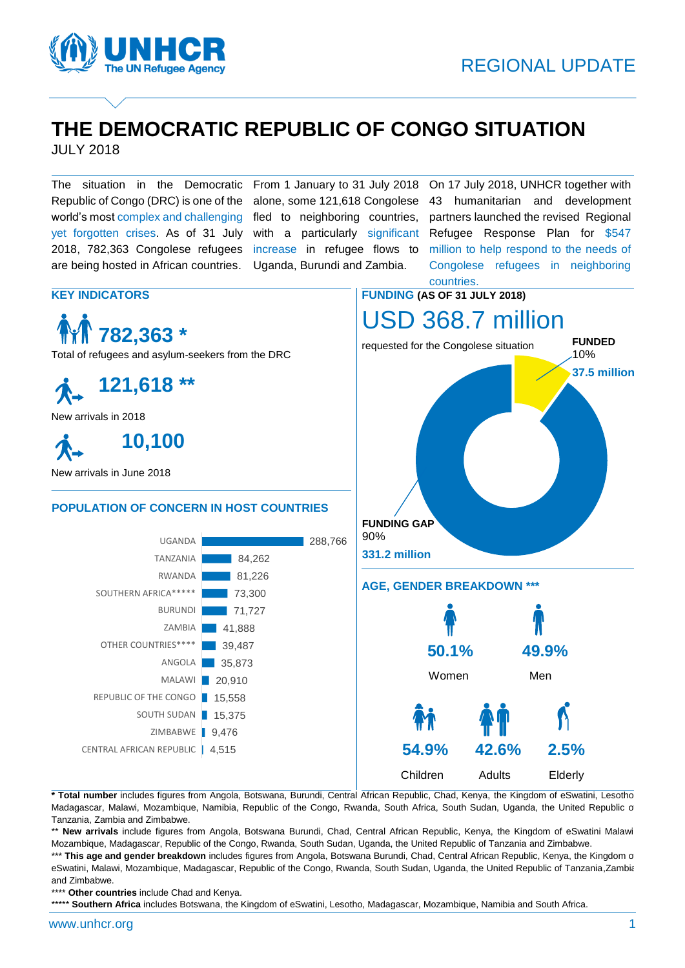

# **THE DEMOCRATIC REPUBLIC OF CONGO SITUATION**

JULY 2018

The situation in the Democratic From 1 January to 31 July 2018 Republic of Congo (DRC) is one of the world's most complex and challenging yet forgotten crises. As of 31 July 2018, 782,363 Congolese refugees are being hosted in African countries.

alone, some 121,618 Congolese fled to neighboring countries, with a particularly significant increase in refugee flows to Uganda, Burundi and Zambia.

On 17 July 2018, UNHCR together with 43 humanitarian and development partners launched the revised Regional Refugee Response Plan for \$547 million to help respond to the needs of Congolese refugees in neighboring

**Children** Adults Elderly



**\* Total number** includes figures from Angola, Botswana, Burundi, Central African Republic, Chad, Kenya, the Kingdom of eSwatini, Lesotho, Madagascar, Malawi, Mozambique, Namibia, Republic of the Congo, Rwanda, South Africa, South Sudan, Uganda, the United Republic o Tanzania, Zambia and Zimbabwe.

\*\* New arrivals include figures from Angola, Botswana Burundi, Chad, Central African Republic, Kenya, the Kingdom of eSwatini Malawi Mozambique, Madagascar, Republic of the Congo, Rwanda, South Sudan, Uganda, the United Republic of Tanzania and Zimbabwe.

\*\*\* This age and gender breakdown includes figures from Angola, Botswana Burundi, Chad, Central African Republic, Kenya, the Kingdom o eSwatini, Malawi, Mozambique, Madagascar, Republic of the Congo, Rwanda, South Sudan, Uganda, the United Republic of Tanzania,Zambia and Zimbabwe.

\*\*\*\* **Other countries** include Chad and Kenya.

\*\*\*\*\* **Southern Africa** includes Botswana, the Kingdom of eSwatini, Lesotho, Madagascar, Mozambique, Namibia and South Africa.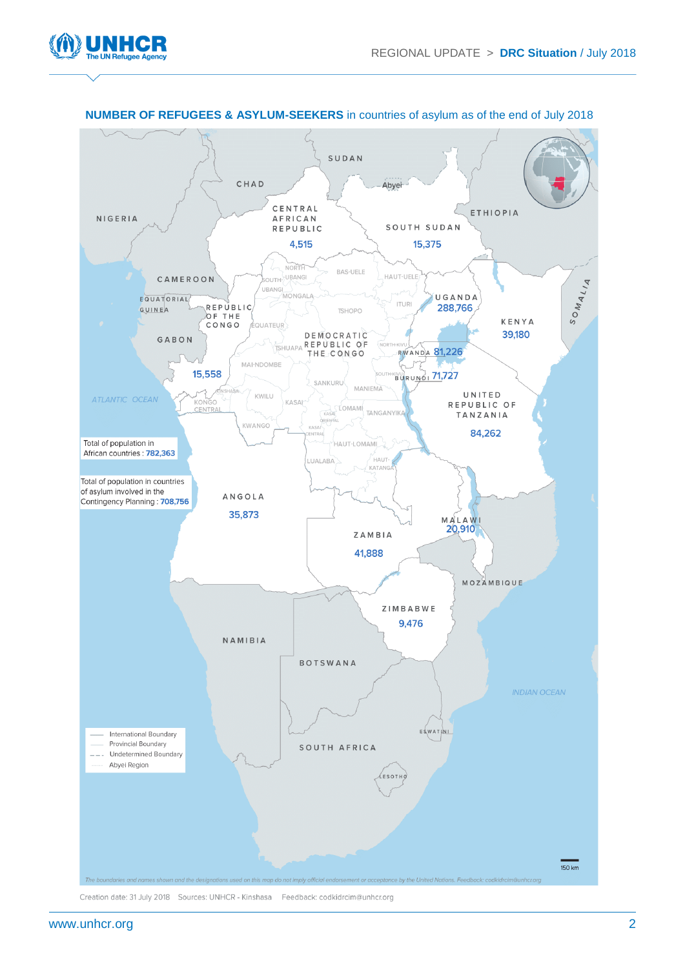



#### **NUMBER OF REFUGEES & ASYLUM-SEEKERS** in countries of asylum as of the end of July 2018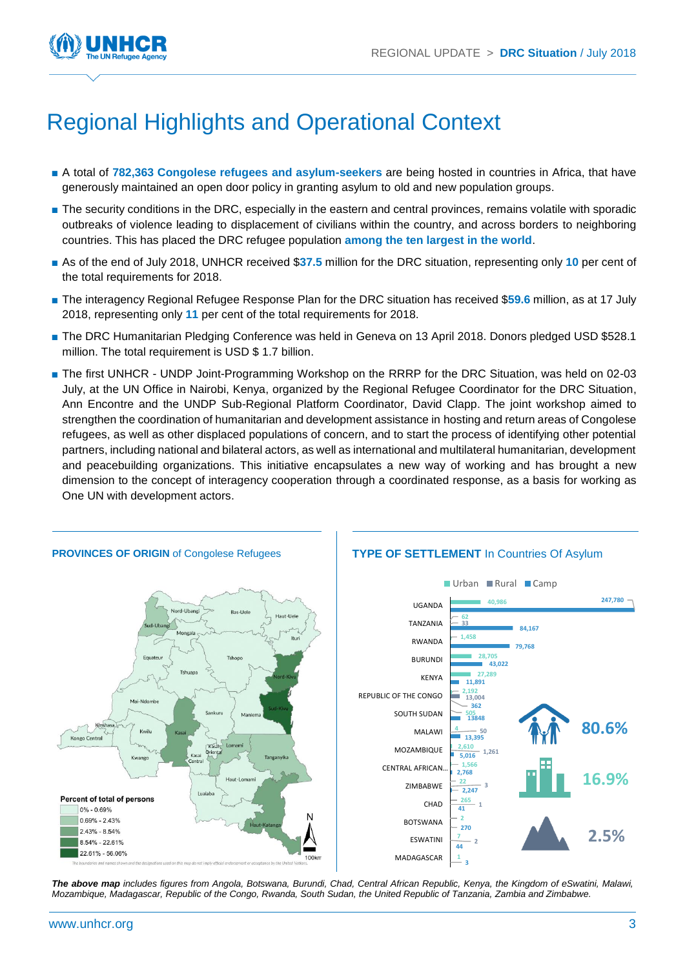

# Regional Highlights and Operational Context

- A total of **782,363 Congolese refugees and asylum-seekers** are being hosted in countries in Africa, that have generously maintained an open door policy in granting asylum to old and new population groups.
- The security conditions in the DRC, especially in the eastern and central provinces, remains volatile with sporadic outbreaks of violence leading to displacement of civilians within the country, and across borders to neighboring countries. This has placed the DRC refugee population **among the ten largest in the world**.
- As of the end of July 2018, UNHCR received \$37.5 million for the DRC situation, representing only 10 per cent of the total requirements for 2018.
- The interagency Regional Refugee Response Plan for the DRC situation has received \$59.6 million, as at 17 July 2018, representing only **11** per cent of the total requirements for 2018.
- The DRC Humanitarian Pledging Conference was held in Geneva on 13 April 2018. Donors pledged USD \$528.1 million. The total requirement is USD \$ 1.7 billion.
- The first UNHCR UNDP Joint-Programming Workshop on the RRRP for the DRC Situation, was held on 02-03 July, at the UN Office in Nairobi, Kenya, organized by the Regional Refugee Coordinator for the DRC Situation, Ann Encontre and the UNDP Sub-Regional Platform Coordinator, David Clapp. The joint workshop aimed to strengthen the coordination of humanitarian and development assistance in hosting and return areas of Congolese refugees, as well as other displaced populations of concern, and to start the process of identifying other potential partners, including national and bilateral actors, as well as international and multilateral humanitarian, development and peacebuilding organizations. This initiative encapsulates a new way of working and has brought a new dimension to the concept of interagency cooperation through a coordinated response, as a basis for working as One UN with development actors.



*The above map includes figures from Angola, Botswana, Burundi, Chad, Central African Republic, Kenya, the Kingdom of eSwatini, Malawi, Mozambique, Madagascar, Republic of the Congo, Rwanda, South Sudan, the United Republic of Tanzania, Zambia and Zimbabwe.*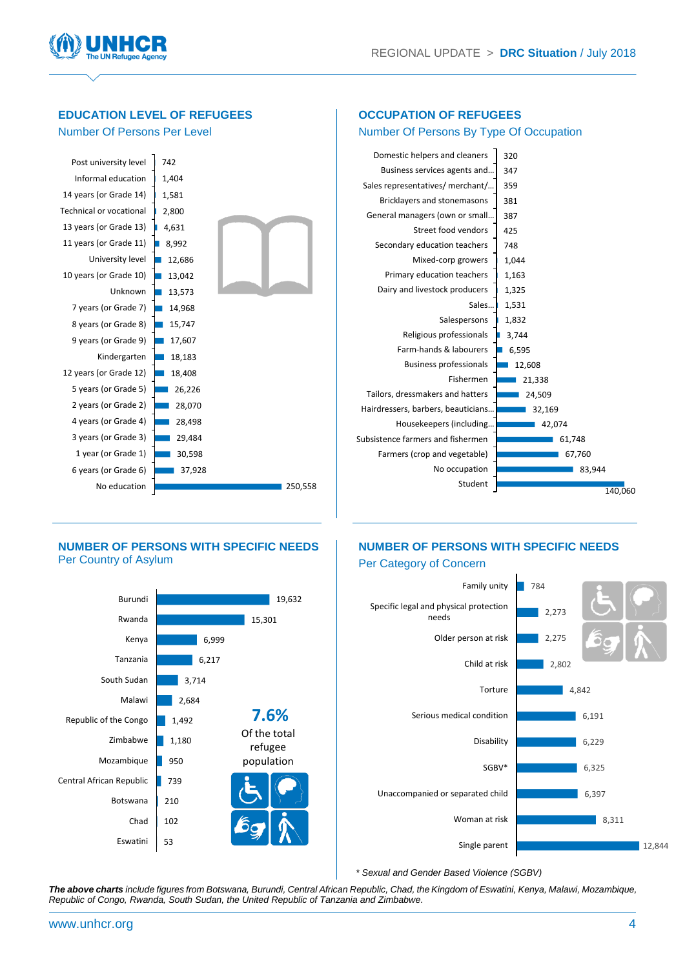

#### **EDUCATION LEVEL OF REFUGEES**  Number Of Persons Per Level **OCCUPATION OF REFUGEES** Number Of Persons By Type Of Occupation 250,558 37,928 30,598 29,484 28,498 28,070 26,226 18,408 18,183  $17,607$  $15,747$  $14.968$  $13,573$  $13,042$ 12,686  $\blacksquare$  8,992 4,631 2,800 1,581 1,404 742 No education 6 years (or Grade 6) 1 year (or Grade 1) 3 years (or Grade 3) 4 years (or Grade 4) 2 years (or Grade 2) 5 years (or Grade 5) 12 years (or Grade 12) Kindergarten 9 years (or Grade 9) 8 years (or Grade 8) 7 years (or Grade 7) Unknown 10 years (or Grade 10) University level 11 years (or Grade 11) 13 years (or Grade 13) Technical or vocational 14 years (or Grade 14) Informal education Post university level 140,060 83,944 67,760 61,748  $42,074$ 32,169 24,509 21,338 12,608 6,595 3,744 1,832 1,531 1,325 1,163 1,044 748 425 387 381 359 347 320 Student No occupation Farmers (crop and vegetable) Subsistence farmers and fishermen Housekeepers (including… Hairdressers, barbers, beauticians… Tailors, dressmakers and hatters Fishermen Business professionals Farm-hands & labourers Religious professionals Salespersons Sales… Dairy and livestock producers Primary education teachers Mixed-corp growers Secondary education teachers Street food vendors General managers (own or small… Bricklayers and stonemasons Sales representatives/ merchant/… Business services agents and… Domestic helpers and cleaners

#### **NUMBER OF PERSONS WITH SPECIFIC NEEDS**  Per Country of Asylum

#### **NUMBER OF PERSONS WITH SPECIFIC NEEDS**  Per Category of Concern





*\* Sexual and Gender Based Violence (SGBV)*

*The above charts include figures from Botswana, Burundi, Central African Republic, Chad, the Kingdom of Eswatini, Kenya, Malawi, Mozambique, Republic of Congo, Rwanda, South Sudan, the United Republic of Tanzania and Zimbabwe.*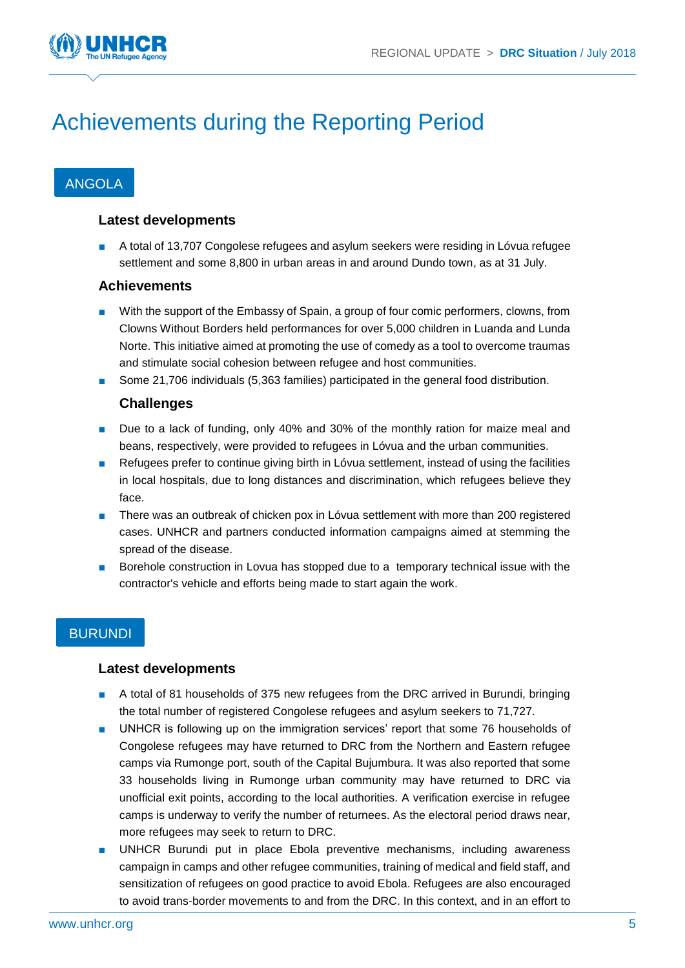

# Achievements during the Reporting Period

# ANGOLA

#### **Latest developments**

A total of 13,707 Congolese refugees and asylum seekers were residing in Lóvua refugee settlement and some 8,800 in urban areas in and around Dundo town, as at 31 July.

#### **Achievements**

- With the support of the Embassy of Spain, a group of four comic performers, clowns, from Clowns Without Borders held performances for over 5,000 children in Luanda and Lunda Norte. This initiative aimed at promoting the use of comedy as a tool to overcome traumas and stimulate social cohesion between refugee and host communities.
- Some 21,706 individuals (5,363 families) participated in the general food distribution.

#### **Challenges**

- Due to a lack of funding, only 40% and 30% of the monthly ration for maize meal and beans, respectively, were provided to refugees in Lóvua and the urban communities.
- Refugees prefer to continue giving birth in Lóvua settlement, instead of using the facilities in local hospitals, due to long distances and discrimination, which refugees believe they face.
- There was an outbreak of chicken pox in Lóvua settlement with more than 200 registered cases. UNHCR and partners conducted information campaigns aimed at stemming the spread of the disease.
- Borehole construction in Lovua has stopped due to a temporary technical issue with the contractor's vehicle and efforts being made to start again the work.

# BURUNDI

#### **Latest developments**

- A total of 81 households of 375 new refugees from the DRC arrived in Burundi, bringing the total number of registered Congolese refugees and asylum seekers to 71,727.
- UNHCR is following up on the immigration services' report that some 76 households of Congolese refugees may have returned to DRC from the Northern and Eastern refugee camps via Rumonge port, south of the Capital Bujumbura. It was also reported that some 33 households living in Rumonge urban community may have returned to DRC via unofficial exit points, according to the local authorities. A verification exercise in refugee camps is underway to verify the number of returnees. As the electoral period draws near, more refugees may seek to return to DRC.
- UNHCR Burundi put in place Ebola preventive mechanisms, including awareness campaign in camps and other refugee communities, training of medical and field staff, and sensitization of refugees on good practice to avoid Ebola. Refugees are also encouraged to avoid trans-border movements to and from the DRC. In this context, and in an effort to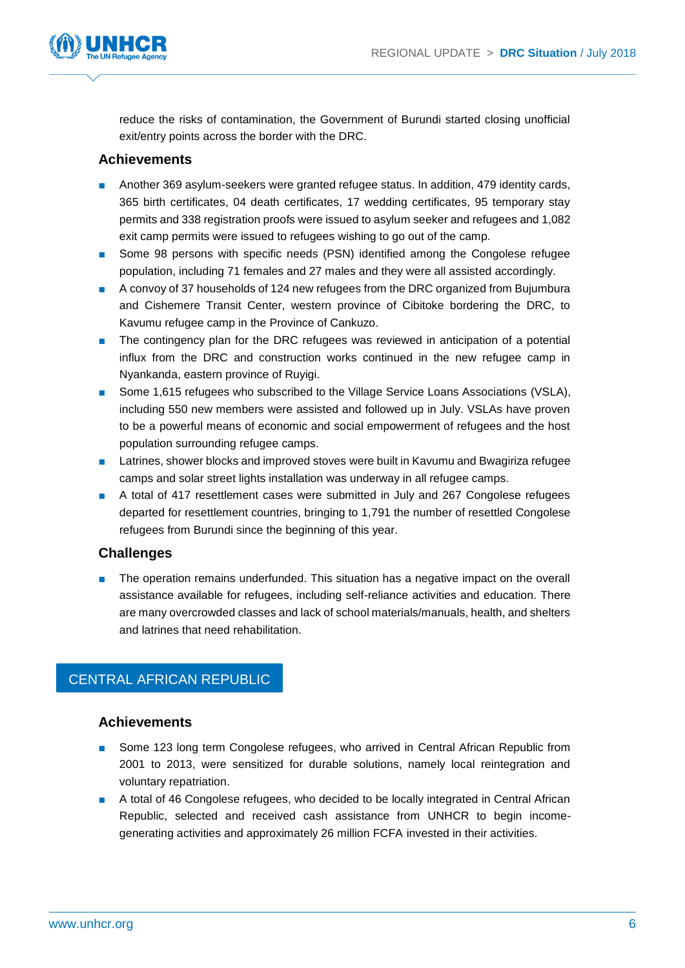

reduce the risks of contamination, the Government of Burundi started closing unofficial exit/entry points across the border with the DRC.

#### **Achievements**

- Another 369 asylum-seekers were granted refugee status. In addition, 479 identity cards, 365 birth certificates, 04 death certificates, 17 wedding certificates, 95 temporary stay permits and 338 registration proofs were issued to asylum seeker and refugees and 1,082 exit camp permits were issued to refugees wishing to go out of the camp.
- Some 98 persons with specific needs (PSN) identified among the Congolese refugee population, including 71 females and 27 males and they were all assisted accordingly.
- A convoy of 37 households of 124 new refugees from the DRC organized from Bujumbura and Cishemere Transit Center, western province of Cibitoke bordering the DRC, to Kavumu refugee camp in the Province of Cankuzo.
- The contingency plan for the DRC refugees was reviewed in anticipation of a potential influx from the DRC and construction works continued in the new refugee camp in Nyankanda, eastern province of Ruyigi.
- Some 1,615 refugees who subscribed to the Village Service Loans Associations (VSLA), including 550 new members were assisted and followed up in July. VSLAs have proven to be a powerful means of economic and social empowerment of refugees and the host population surrounding refugee camps.
- Latrines, shower blocks and improved stoves were built in Kavumu and Bwagiriza refugee camps and solar street lights installation was underway in all refugee camps.
- A total of 417 resettlement cases were submitted in July and 267 Congolese refugees departed for resettlement countries, bringing to 1,791 the number of resettled Congolese refugees from Burundi since the beginning of this year.

# **Challenges**

The operation remains underfunded. This situation has a negative impact on the overall assistance available for refugees, including self-reliance activities and education. There are many overcrowded classes and lack of school materials/manuals, health, and shelters and latrines that need rehabilitation.

# CENTRAL AFRICAN REPUBLIC

#### **Achievements**

- Some 123 long term Congolese refugees, who arrived in Central African Republic from 2001 to 2013, were sensitized for durable solutions, namely local reintegration and voluntary repatriation.
- A total of 46 Congolese refugees, who decided to be locally integrated in Central African Republic, selected and received cash assistance from UNHCR to begin incomegenerating activities and approximately 26 million FCFA invested in their activities.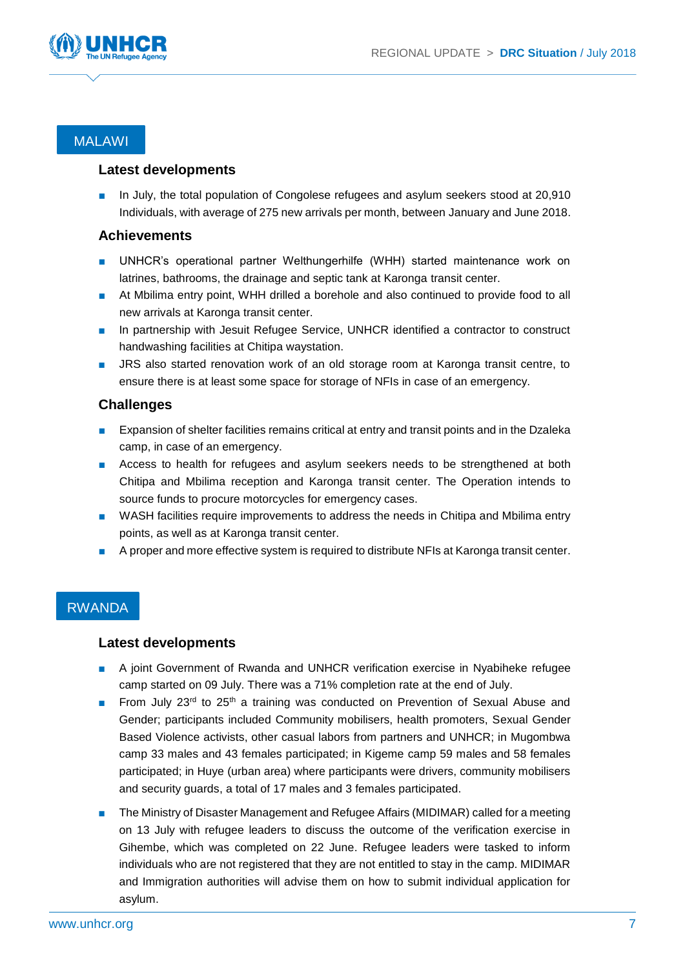

# MALAWI

#### **Latest developments**

In July, the total population of Congolese refugees and asylum seekers stood at 20,910 Individuals, with average of 275 new arrivals per month, between January and June 2018.

#### **Achievements**

- UNHCR's operational partner Welthungerhilfe (WHH) started maintenance work on latrines, bathrooms, the drainage and septic tank at Karonga transit center.
- At Mbilima entry point, WHH drilled a borehole and also continued to provide food to all new arrivals at Karonga transit center.
- In partnership with Jesuit Refugee Service, UNHCR identified a contractor to construct handwashing facilities at Chitipa waystation.
- JRS also started renovation work of an old storage room at Karonga transit centre, to ensure there is at least some space for storage of NFIs in case of an emergency.

#### **Challenges**

- Expansion of shelter facilities remains critical at entry and transit points and in the Dzaleka camp, in case of an emergency.
- Access to health for refugees and asylum seekers needs to be strengthened at both Chitipa and Mbilima reception and Karonga transit center. The Operation intends to source funds to procure motorcycles for emergency cases.
- WASH facilities require improvements to address the needs in Chitipa and Mbilima entry points, as well as at Karonga transit center.
- A proper and more effective system is required to distribute NFIs at Karonga transit center.

# RWANDA

#### **Latest developments**

- A joint Government of Rwanda and UNHCR verification exercise in Nyabiheke refugee camp started on 09 July. There was a 71% completion rate at the end of July.
- From July 23<sup>rd</sup> to 25<sup>th</sup> a training was conducted on Prevention of Sexual Abuse and Gender; participants included Community mobilisers, health promoters, Sexual Gender Based Violence activists, other casual labors from partners and UNHCR; in Mugombwa camp 33 males and 43 females participated; in Kigeme camp 59 males and 58 females participated; in Huye (urban area) where participants were drivers, community mobilisers and security guards, a total of 17 males and 3 females participated.
- The Ministry of Disaster Management and Refugee Affairs (MIDIMAR) called for a meeting on 13 July with refugee leaders to discuss the outcome of the verification exercise in Gihembe, which was completed on 22 June. Refugee leaders were tasked to inform individuals who are not registered that they are not entitled to stay in the camp. MIDIMAR and Immigration authorities will advise them on how to submit individual application for asylum.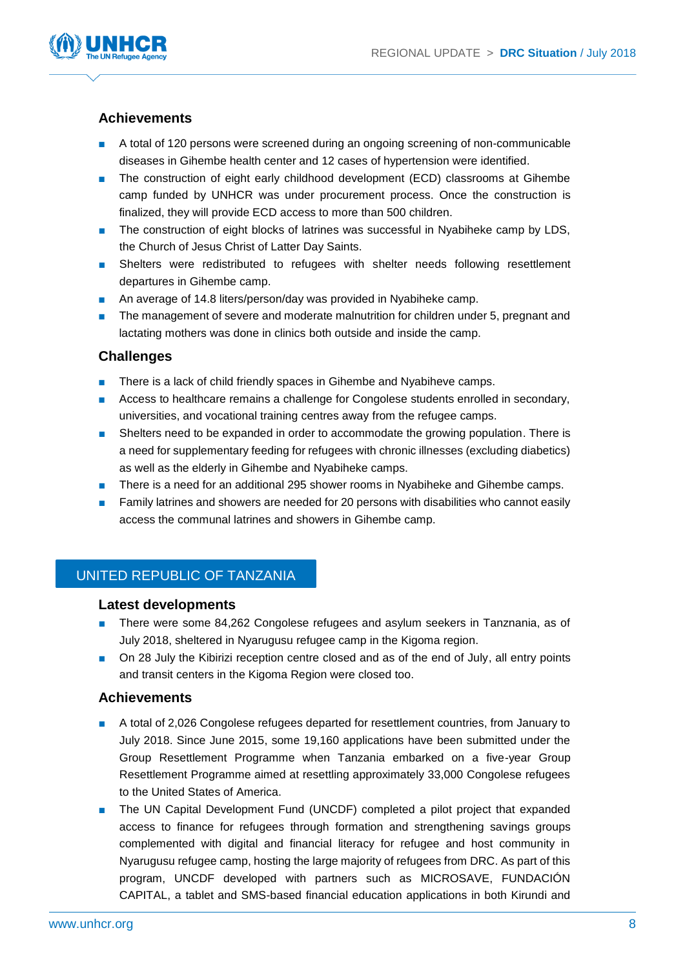

# **Achievements**

- A total of 120 persons were screened during an ongoing screening of non-communicable diseases in Gihembe health center and 12 cases of hypertension were identified.
- The construction of eight early childhood development (ECD) classrooms at Gihembe camp funded by UNHCR was under procurement process. Once the construction is finalized, they will provide ECD access to more than 500 children.
- The construction of eight blocks of latrines was successful in Nyabiheke camp by LDS, the Church of Jesus Christ of Latter Day Saints.
- Shelters were redistributed to refugees with shelter needs following resettlement departures in Gihembe camp.
- An average of 14.8 liters/person/day was provided in Nyabiheke camp.
- The management of severe and moderate malnutrition for children under 5, pregnant and lactating mothers was done in clinics both outside and inside the camp.

#### **Challenges**

- There is a lack of child friendly spaces in Gihembe and Nyabiheve camps.
- Access to healthcare remains a challenge for Congolese students enrolled in secondary, universities, and vocational training centres away from the refugee camps.
- Shelters need to be expanded in order to accommodate the growing population. There is a need for supplementary feeding for refugees with chronic illnesses (excluding diabetics) as well as the elderly in Gihembe and Nyabiheke camps.
- There is a need for an additional 295 shower rooms in Nyabiheke and Gihembe camps.
- Family latrines and showers are needed for 20 persons with disabilities who cannot easily access the communal latrines and showers in Gihembe camp.

# UNITED REPUBLIC OF TANZANIA

#### **Latest developments**

- There were some 84,262 Congolese refugees and asylum seekers in Tanznania, as of July 2018, sheltered in Nyarugusu refugee camp in the Kigoma region.
- On 28 July the Kibirizi reception centre closed and as of the end of July, all entry points and transit centers in the Kigoma Region were closed too.

#### **Achievements**

- A total of 2,026 Congolese refugees departed for resettlement countries, from January to July 2018. Since June 2015, some 19,160 applications have been submitted under the Group Resettlement Programme when Tanzania embarked on a five-year Group Resettlement Programme aimed at resettling approximately 33,000 Congolese refugees to the United States of America.
- The UN Capital Development Fund (UNCDF) completed a pilot project that expanded access to finance for refugees through formation and strengthening savings groups complemented with digital and financial literacy for refugee and host community in Nyarugusu refugee camp, hosting the large majority of refugees from DRC. As part of this program, UNCDF developed with partners such as MICROSAVE, FUNDACIÓN CAPITAL, a tablet and SMS-based financial education applications in both Kirundi and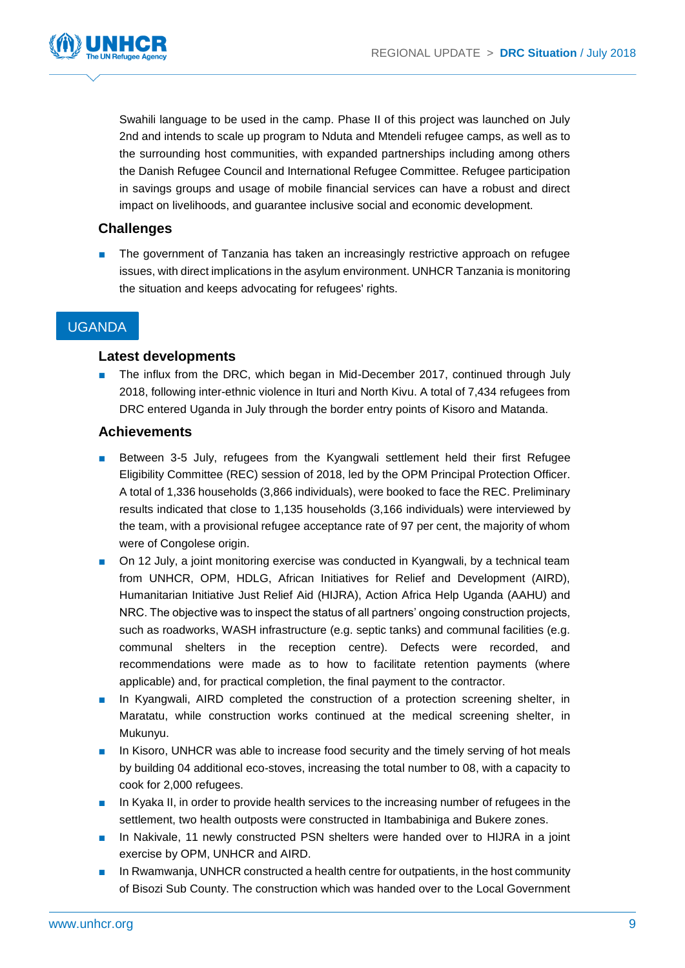

Swahili language to be used in the camp. Phase II of this project was launched on July 2nd and intends to scale up program to Nduta and Mtendeli refugee camps, as well as to the surrounding host communities, with expanded partnerships including among others the Danish Refugee Council and International Refugee Committee. Refugee participation in savings groups and usage of mobile financial services can have a robust and direct impact on livelihoods, and guarantee inclusive social and economic development.

# **Challenges**

The government of Tanzania has taken an increasingly restrictive approach on refugee issues, with direct implications in the asylum environment. UNHCR Tanzania is monitoring the situation and keeps advocating for refugees' rights.

# UGANDA

#### **Latest developments**

The influx from the DRC, which began in Mid-December 2017, continued through July 2018, following inter-ethnic violence in Ituri and North Kivu. A total of 7,434 refugees from DRC entered Uganda in July through the border entry points of Kisoro and Matanda.

#### **Achievements**

- Between 3-5 July, refugees from the Kyangwali settlement held their first Refugee Eligibility Committee (REC) session of 2018, led by the OPM Principal Protection Officer. A total of 1,336 households (3,866 individuals), were booked to face the REC. Preliminary results indicated that close to 1,135 households (3,166 individuals) were interviewed by the team, with a provisional refugee acceptance rate of 97 per cent, the majority of whom were of Congolese origin.
- On 12 July, a joint monitoring exercise was conducted in Kyangwali, by a technical team from UNHCR, OPM, HDLG, African Initiatives for Relief and Development (AIRD), Humanitarian Initiative Just Relief Aid (HIJRA), Action Africa Help Uganda (AAHU) and NRC. The objective was to inspect the status of all partners' ongoing construction projects, such as roadworks, WASH infrastructure (e.g. septic tanks) and communal facilities (e.g. communal shelters in the reception centre). Defects were recorded, and recommendations were made as to how to facilitate retention payments (where applicable) and, for practical completion, the final payment to the contractor.
- In Kyangwali, AIRD completed the construction of a protection screening shelter, in Maratatu, while construction works continued at the medical screening shelter, in Mukunyu.
- In Kisoro, UNHCR was able to increase food security and the timely serving of hot meals by building 04 additional eco-stoves, increasing the total number to 08, with a capacity to cook for 2,000 refugees.
- In Kyaka II, in order to provide health services to the increasing number of refugees in the settlement, two health outposts were constructed in Itambabiniga and Bukere zones.
- In Nakivale, 11 newly constructed PSN shelters were handed over to HIJRA in a joint exercise by OPM, UNHCR and AIRD.
- In Rwamwanja, UNHCR constructed a health centre for outpatients, in the host community of Bisozi Sub County. The construction which was handed over to the Local Government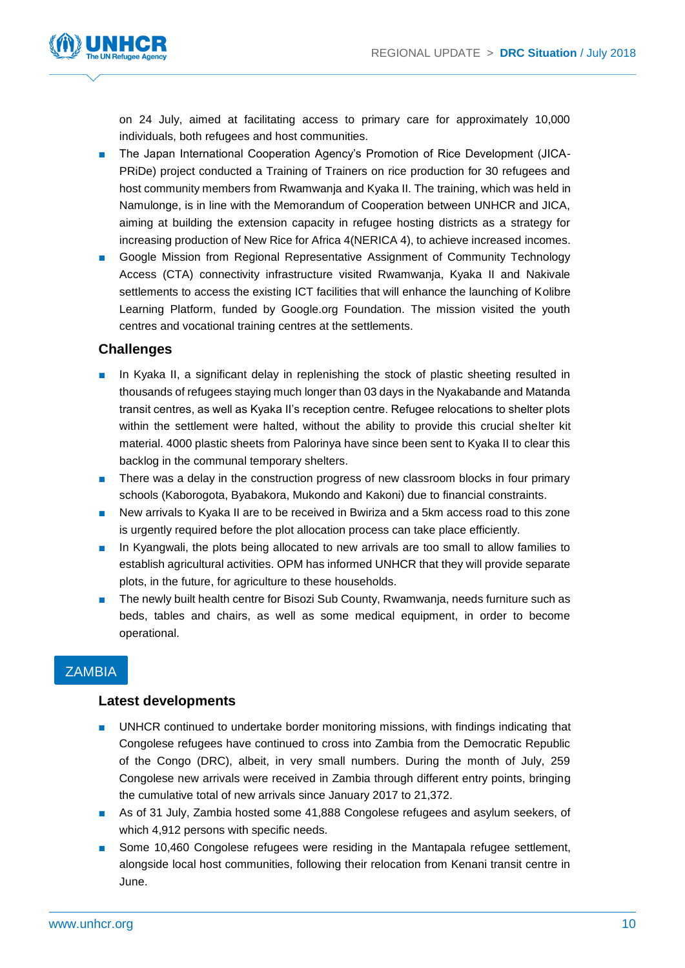

on 24 July, aimed at facilitating access to primary care for approximately 10,000 individuals, both refugees and host communities.

- The Japan International Cooperation Agency's Promotion of Rice Development (JICA-PRiDe) project conducted a Training of Trainers on rice production for 30 refugees and host community members from Rwamwanja and Kyaka II. The training, which was held in Namulonge, is in line with the Memorandum of Cooperation between UNHCR and JICA, aiming at building the extension capacity in refugee hosting districts as a strategy for increasing production of New Rice for Africa 4(NERICA 4), to achieve increased incomes.
- Google Mission from Regional Representative Assignment of Community Technology Access (CTA) connectivity infrastructure visited Rwamwanja, Kyaka II and Nakivale settlements to access the existing ICT facilities that will enhance the launching of Kolibre Learning Platform, funded by Google.org Foundation. The mission visited the youth centres and vocational training centres at the settlements.

#### **Challenges**

- In Kyaka II, a significant delay in replenishing the stock of plastic sheeting resulted in thousands of refugees staying much longer than 03 days in the Nyakabande and Matanda transit centres, as well as Kyaka II's reception centre. Refugee relocations to shelter plots within the settlement were halted, without the ability to provide this crucial shelter kit material. 4000 plastic sheets from Palorinya have since been sent to Kyaka II to clear this backlog in the communal temporary shelters.
- There was a delay in the construction progress of new classroom blocks in four primary schools (Kaborogota, Byabakora, Mukondo and Kakoni) due to financial constraints.
- New arrivals to Kyaka II are to be received in Bwiriza and a 5km access road to this zone is urgently required before the plot allocation process can take place efficiently.
- In Kyangwali, the plots being allocated to new arrivals are too small to allow families to establish agricultural activities. OPM has informed UNHCR that they will provide separate plots, in the future, for agriculture to these households.
- The newly built health centre for Bisozi Sub County, Rwamwania, needs furniture such as beds, tables and chairs, as well as some medical equipment, in order to become operational.

# **ZAMBIA**

#### **Latest developments**

- UNHCR continued to undertake border monitoring missions, with findings indicating that Congolese refugees have continued to cross into Zambia from the Democratic Republic of the Congo (DRC), albeit, in very small numbers. During the month of July, 259 Congolese new arrivals were received in Zambia through different entry points, bringing the cumulative total of new arrivals since January 2017 to 21,372.
- As of 31 July, Zambia hosted some 41,888 Congolese refugees and asylum seekers, of which 4,912 persons with specific needs.
- Some 10,460 Congolese refugees were residing in the Mantapala refugee settlement, alongside local host communities, following their relocation from Kenani transit centre in June.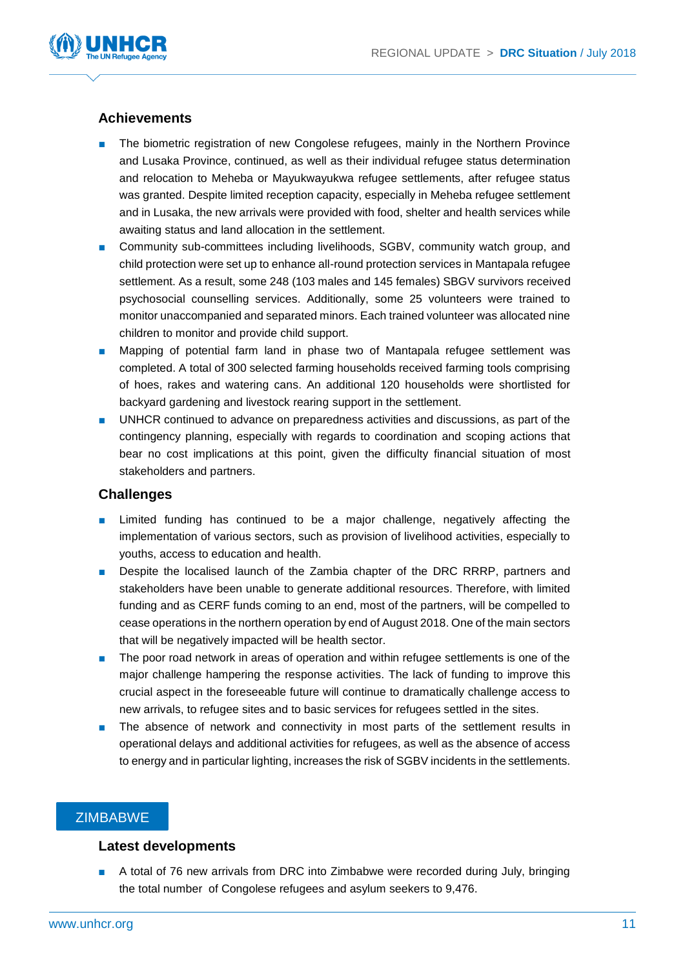

#### **Achievements**

- The biometric registration of new Congolese refugees, mainly in the Northern Province and Lusaka Province, continued, as well as their individual refugee status determination and relocation to Meheba or Mayukwayukwa refugee settlements, after refugee status was granted. Despite limited reception capacity, especially in Meheba refugee settlement and in Lusaka, the new arrivals were provided with food, shelter and health services while awaiting status and land allocation in the settlement.
- Community sub-committees including livelihoods, SGBV, community watch group, and child protection were set up to enhance all-round protection services in Mantapala refugee settlement. As a result, some 248 (103 males and 145 females) SBGV survivors received psychosocial counselling services. Additionally, some 25 volunteers were trained to monitor unaccompanied and separated minors. Each trained volunteer was allocated nine children to monitor and provide child support.
- Mapping of potential farm land in phase two of Mantapala refugee settlement was completed. A total of 300 selected farming households received farming tools comprising of hoes, rakes and watering cans. An additional 120 households were shortlisted for backyard gardening and livestock rearing support in the settlement.
- UNHCR continued to advance on preparedness activities and discussions, as part of the contingency planning, especially with regards to coordination and scoping actions that bear no cost implications at this point, given the difficulty financial situation of most stakeholders and partners.

#### **Challenges**

- Limited funding has continued to be a major challenge, negatively affecting the implementation of various sectors, such as provision of livelihood activities, especially to youths, access to education and health.
- Despite the localised launch of the Zambia chapter of the DRC RRRP, partners and stakeholders have been unable to generate additional resources. Therefore, with limited funding and as CERF funds coming to an end, most of the partners, will be compelled to cease operations in the northern operation by end of August 2018. One of the main sectors that will be negatively impacted will be health sector.
- The poor road network in areas of operation and within refugee settlements is one of the major challenge hampering the response activities. The lack of funding to improve this crucial aspect in the foreseeable future will continue to dramatically challenge access to new arrivals, to refugee sites and to basic services for refugees settled in the sites.
- The absence of network and connectivity in most parts of the settlement results in operational delays and additional activities for refugees, as well as the absence of access to energy and in particular lighting, increases the risk of SGBV incidents in the settlements.

#### **ZIMBABWE**

#### **Latest developments**

■ A total of 76 new arrivals from DRC into Zimbabwe were recorded during July, bringing the total number of Congolese refugees and asylum seekers to 9,476.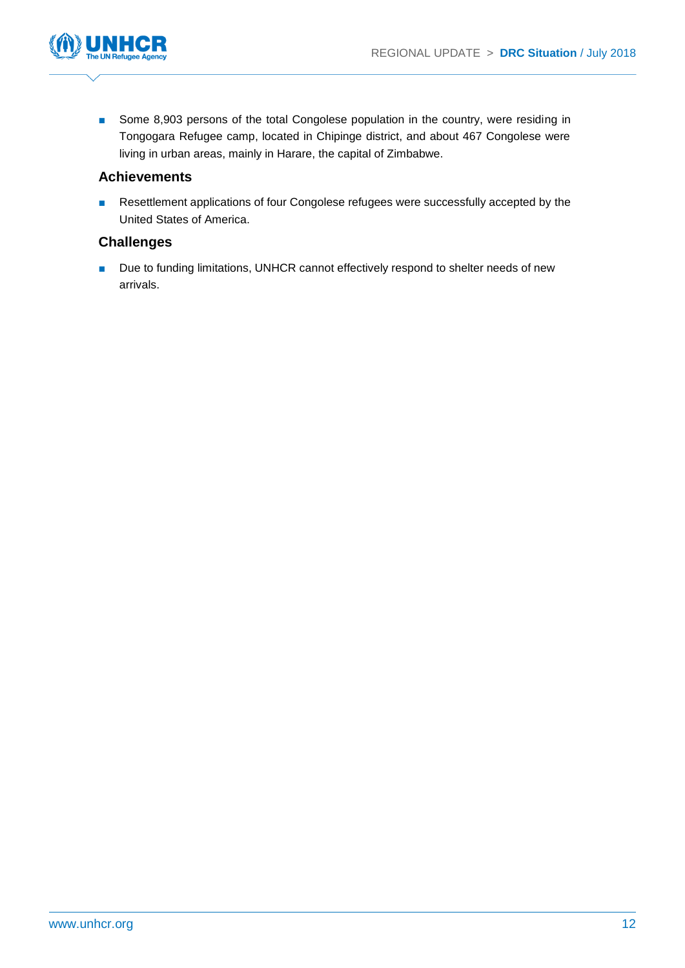

■ Some 8,903 persons of the total Congolese population in the country, were residing in Tongogara Refugee camp, located in Chipinge district, and about 467 Congolese were living in urban areas, mainly in Harare, the capital of Zimbabwe.

#### **Achievements**

■ Resettlement applications of four Congolese refugees were successfully accepted by the United States of America.

#### **Challenges**

■ Due to funding limitations, UNHCR cannot effectively respond to shelter needs of new arrivals.